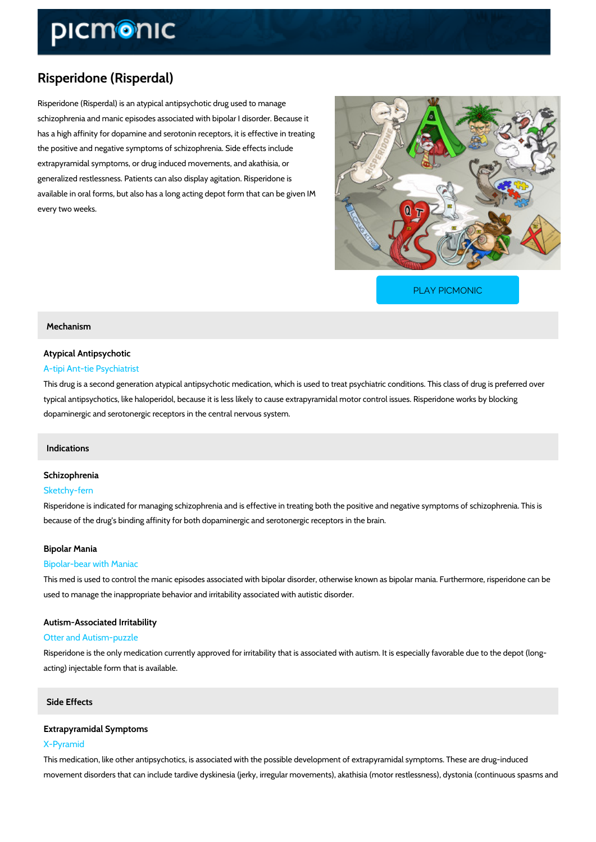# Risperidone (Risperdal)

Risperidone (Risperdal) is an atypical antipsychotic drug used to manage schizophrenia and manic episodes associated with bipolar I disorder. Because it has a high affinity for dopamine and serotonin receptors, it is effective in treating the positive and negative symptoms of schizophrenia. Side effects include extrapyramidal symptoms, or drug induced movements, and akathisia, or generalized restlessness. Patients can also display agitation. Risperidone is available in oral forms, but also has a long acting depot form that can be given IM every two weeks.

[PLAY PICMONIC](https://www.picmonic.com/learn/risperidone-risperdal_2645?utm_source=downloadable_content&utm_medium=distributedcontent&utm_campaign=pathways_pdf&utm_content=Risperidone (Risperdal)&utm_ad_group=leads&utm_market=all)

## Mechanism

# Atypical Antipsychotic A-tipi Ant-tie Psychiatrist

This drug is a second generation atypical antipsychotic medication, which is used to treat psy typical antipsychotics, like haloperidol, because it is less likely to cause extrapyramidal moto dopaminergic and serotonergic receptors in the central nervous system.

#### Indications

# Schizophrenia

#### Sketchy-fern

Risperidone is indicated for managing schizophrenia and is effective in treating both the posi because of the drug s binding affinity for both dopaminergic and serotonergic receptors in the

#### Bipolar Mania

#### Bipolar-bear with Maniac

This med is used to control the manic episodes associated with bipolar disorder, otherwise kn used to manage the inappropriate behavior and irritability associated with autistic disorder.

#### Autism-Associated Irritability

#### Otter and Autism-puzzle

Risperidone is the only medication currently approved for irritability that is associated with a acting) injectable form that is available.

## Side Effects

#### Extrapyramidal Symptoms

### X-Pyramid

This medication, like other antipsychotics, is associated with the possible development of ext movement disorders that can include tardive dyskinesia (jerky, irregular movements), akathisi